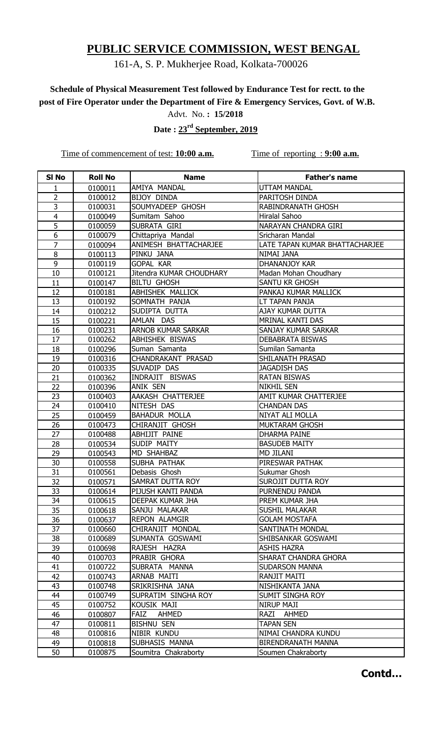## 161-A, S. P. Mukherjee Road, Kolkata-700026

# **Schedule of Physical Measurement Test followed by Endurance Test for rectt. to the post of Fire Operator under the Department of Fire & Emergency Services, Govt. of W.B.**

Advt. No. **: 15/2018**

 **Date : 23rd September, 2019**

Time of commencement of test: **10:00 a.m.** Time of reporting : **9:00 a.m.** 

| SI <sub>No</sub> | <b>Roll No</b>     | <b>Name</b>                        | <b>Father's name</b>                  |
|------------------|--------------------|------------------------------------|---------------------------------------|
| 1                | 0100011            | AMIYA MANDAL                       | <b>UTTAM MANDAL</b>                   |
| 2                | 0100012            | BIJOY DINDA                        | PARITOSH DINDA                        |
| $\overline{3}$   | 0100031            | SOUMYADEEP GHOSH                   | RABINDRANATH GHOSH                    |
| $\overline{4}$   | 0100049            | Sumitam Sahoo                      | Hiralal Sahoo                         |
| 5                | 0100059            | SUBRATA GIRI                       | NARAYAN CHANDRA GIRI                  |
| 6                | 0100079            | Chittapriya Mandal                 | Sricharan Mandal                      |
| $\overline{7}$   | 0100094            | ANIMESH BHATTACHARJEE              | LATE TAPAN KUMAR BHATTACHARJEE        |
| 8                | 0100113            | PINKU JANA                         | NIMAI JANA                            |
| 9                | 0100119            | <b>GOPAL KAR</b>                   | DHANANJOY KAR                         |
| 10               | 0100121            | Jitendra KUMAR CHOUDHARY           | Madan Mohan Choudhary                 |
| 11               | 0100147            | <b>BILTU GHOSH</b>                 | SANTU KR GHOSH                        |
| 12               | 0100181            | ABHISHEK MALLICK                   | PANKAJ KUMAR MALLICK                  |
| 13               | 0100192            | SOMNATH PANJA                      | LT TAPAN PANJA                        |
| 14               | 0100212            | SUDIPTA DUTTA                      | AJAY KUMAR DUTTA                      |
| 15               | 0100221            | AMLAN DAS                          | MRINAL KANTI DAS                      |
| 16               | 0100231            | <b>ARNOB KUMAR SARKAR</b>          | SANJAY KUMAR SARKAR                   |
| 17               | 0100262            | ABHISHEK BISWAS                    | DEBABRATA BISWAS                      |
| 18               | 0100296            | Suman Samanta                      | Sumilan Samanta                       |
| 19               | 0100316            | CHANDRAKANT PRASAD                 | SHILANATH PRASAD                      |
| 20               | 0100335            | SUVADIP DAS                        | <b>JAGADISH DAS</b>                   |
| 21               | 0100362            | INDRAJIT BISWAS                    | <b>RATAN BISWAS</b>                   |
| 22               | 0100396            | ANIK SEN                           | <b>NIKHIL SEN</b>                     |
| 23               | 0100403            | AAKASH CHATTERJEE                  | AMIT KUMAR CHATTERJEE                 |
| 24               | 0100410            | NITESH DAS                         | <b>CHANDAN DAS</b>                    |
| 25               | 0100459            | <b>BAHADUR MOLLA</b>               | NIYAT ALI MOLLA                       |
| 26               | 0100473            | CHIRANJIT GHOSH                    | <b>MUKTARAM GHOSH</b>                 |
| 27               | 0100488            | ABHIJIT PAINE                      | <b>DHARMA PAINE</b>                   |
| 28               | 0100534            | SUDIP MAITY                        | <b>BASUDEB MAITY</b>                  |
| 29               | 0100543            | MD SHAHBAZ                         | <b>MD JILANI</b>                      |
| 30               | 0100558            | SUBHA PATHAK                       | PIRESWAR PATHAK                       |
| 31               | 0100561            | Debasis Ghosh                      | Sukumar Ghosh                         |
| 32               | 0100571            | SAMRAT DUTTA ROY                   | <b>SUROJIT DUTTA ROY</b>              |
| 33               | 0100614            | PIJUSH KANTI PANDA                 | PURNENDU PANDA                        |
| 34               | 0100615            | DEEPAK KUMAR JHA                   | PREM KUMAR JHA                        |
| 35               | 0100618            | SANJU MALAKAR                      | SUSHIL MALAKAR                        |
| 36               | 0100637            | <b>REPON ALAMGIR</b>               | <b>GOLAM MOSTAFA</b>                  |
| 37               | 0100660            | CHIRANJIT MONDAL                   | SANTINATH MONDAL                      |
| 38               | 0100689            | SUMANTA GOSWAMI                    | SHIBSANKAR GOSWAMI                    |
| 39               | 0100698            | RAJESH HAZRA                       | <b>ASHIS HAZRA</b>                    |
| 40               | 0100703            | PRABIR GHORA                       | SHARAT CHANDRA GHORA                  |
| 41               | 0100722            | SUBRATA MANNA                      | <b>SUDARSON MANNA</b>                 |
| 42               | 0100743            | ARNAB MAITI                        | RANJIT MAITI                          |
| 43               | 0100748            | SRIKRISHNA JANA                    | NISHIKANTA JANA                       |
| 44<br>45         | 0100749            | SUPRATIM SINGHA ROY<br>KOUSIK MAJI | SUMIT SINGHA ROY<br><b>NIRUP MAJI</b> |
| 46               | 0100752<br>0100807 | FAIZ<br><b>AHMED</b>               | RAZI<br><b>AHMED</b>                  |
| 47               | 0100811            | <b>BISHNU SEN</b>                  | <b>TAPAN SEN</b>                      |
| 48               | 0100816            | NIBIR KUNDU                        | NIMAI CHANDRA KUNDU                   |
| 49               | 0100818            | SUBHASIS MANNA                     | BIRENDRANATH MANNA                    |
| 50               | 0100875            | Soumitra Chakraborty               | Soumen Chakraborty                    |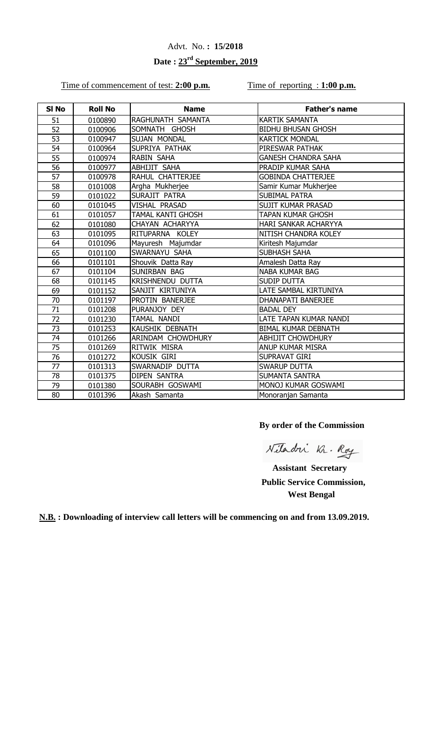# **Date : 23rd September, 2019**

### Time of commencement of test: 2:00 p.m. Time of reporting : 1:00 p.m.

| SI <sub>No</sub> | <b>Roll No</b> | <b>Name</b>              | <b>Father's name</b>       |
|------------------|----------------|--------------------------|----------------------------|
| 51               | 0100890        | RAGHUNATH SAMANTA        | <b>KARTIK SAMANTA</b>      |
| 52               | 0100906        | SOMNATH GHOSH            | <b>BIDHU BHUSAN GHOSH</b>  |
| 53               | 0100947        | SUJAN MONDAL             | <b>KARTICK MONDAL</b>      |
| 54               | 0100964        | SUPRIYA PATHAK           | PIRESWAR PATHAK            |
| 55               | 0100974        | RABIN SAHA               | <b>GANESH CHANDRA SAHA</b> |
| 56               | 0100977        | ABHIJIT SAHA             | PRADIP KUMAR SAHA          |
| 57               | 0100978        | RAHUL CHATTERJEE         | <b>GOBINDA CHATTERJEE</b>  |
| 58               | 0101008        | Argha Mukherjee          | Samir Kumar Mukherjee      |
| 59               | 0101022        | SURAJIT PATRA            | <b>SUBIMAL PATRA</b>       |
| 60               | 0101045        | <b>VISHAL PRASAD</b>     | <b>SUJIT KUMAR PRASAD</b>  |
| 61               | 0101057        | <b>TAMAL KANTI GHOSH</b> | TAPAN KUMAR GHOSH          |
| 62               | 0101080        | CHAYAN ACHARYYA          | HARI SANKAR ACHARYYA       |
| 63               | 0101095        | RITUPARNA KOLEY          | NITISH CHANDRA KOLEY       |
| 64               | 0101096        | Mayuresh Majumdar        | Kiritesh Majumdar          |
| 65               | 0101100        | SWARNAYU SAHA            | SUBHASH SAHA               |
| 66               | 0101101        | Shouvik Datta Ray        | Amalesh Datta Ray          |
| 67               | 0101104        | SUNIRBAN BAG             | <b>NABA KUMAR BAG</b>      |
| 68               | 0101145        | <b>KRISHNENDU DUTTA</b>  | <b>SUDIP DUTTA</b>         |
| 69               | 0101152        | SANJIT KIRTUNIYA         | LATE SAMBAL KIRTUNIYA      |
| 70               | 0101197        | PROTIN BANERJEE          | DHANAPATI BANERJEE         |
| 71               | 0101208        | PURANJOY DEY             | <b>BADAL DEY</b>           |
| 72               | 0101230        | TAMAL NANDI              | LATE TAPAN KUMAR NANDI     |
| 73               | 0101253        | <b>KAUSHIK DEBNATH</b>   | <b>BIMAL KUMAR DEBNATH</b> |
| 74               | 0101266        | ARINDAM CHOWDHURY        | <b>ABHIJIT CHOWDHURY</b>   |
| 75               | 0101269        | RITWIK MISRA             | ANUP KUMAR MISRA           |
| 76               | 0101272        | KOUSIK GIRI              | SUPRAVAT GIRI              |
| 77               | 0101313        | SWARNADIP DUTTA          | <b>SWARUP DUTTA</b>        |
| 78               | 0101375        | <b>DIPEN SANTRA</b>      | <b>SUMANTA SANTRA</b>      |
| 79               | 0101380        | SOURABH GOSWAMI          | MONOJ KUMAR GOSWAMI        |
| 80               | 0101396        | Akash Samanta            | Monoranjan Samanta         |

**By order of the Commission**

Nitadri Kr. Roy

 **Assistant Secretary Public Service Commission, West Bengal**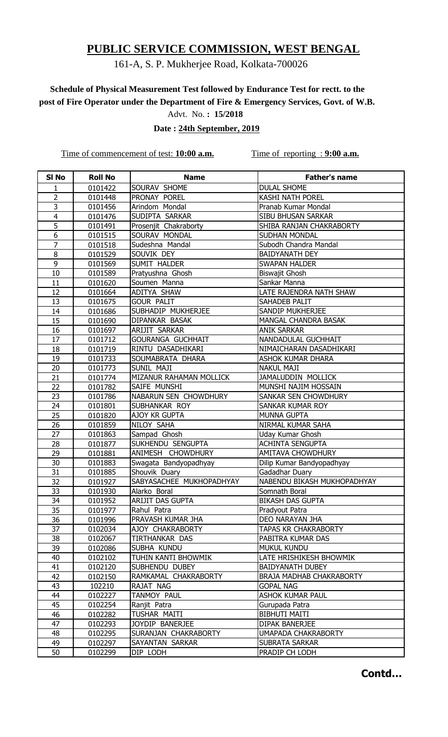## 161-A, S. P. Mukherjee Road, Kolkata-700026

# **Schedule of Physical Measurement Test followed by Endurance Test for rectt. to the post of Fire Operator under the Department of Fire & Emergency Services, Govt. of W.B.**

Advt. No. **: 15/2018**

 **Date : 24th September, 2019**

Time of commencement of test: **10:00 a.m.** Time of reporting : **9:00 a.m.** 

| SI <sub>No</sub> | <b>Roll No</b> | <b>Name</b>              | <b>Father's name</b>        |
|------------------|----------------|--------------------------|-----------------------------|
| 1                | 0101422        | SOURAV SHOME             | <b>DULAL SHOME</b>          |
| 2                | 0101448        | PRONAY POREL             | <b>KASHI NATH POREL</b>     |
| 3                | 0101456        | Arindom Mondal           | Pranab Kumar Mondal         |
| $\overline{4}$   | 0101476        | SUDIPTA SARKAR           | SIBU BHUSAN SARKAR          |
| 5                | 0101491        | Prosenjit Chakraborty    | SHIBA RANJAN CHAKRABORTY    |
| 6                | 0101515        | SOURAV MONDAL            | <b>SUDHAN MONDAL</b>        |
| $\overline{7}$   | 0101518        | Sudeshna Mandal          | Subodh Chandra Mandal       |
| 8                | 0101529        | SOUVIK DEY               | <b>BAIDYANATH DEY</b>       |
| 9                | 0101569        | SUMIT HALDER             | <b>SWAPAN HALDER</b>        |
| 10               | 0101589        | Pratyushna Ghosh         | <b>Biswajit Ghosh</b>       |
| 11               | 0101620        | Soumen Manna             | Sankar Manna                |
| 12               | 0101664        | ADITYA SHAW              | LATE RAJENDRA NATH SHAW     |
| 13               | 0101675        | <b>GOUR PALIT</b>        | SAHADEB PALIT               |
| 14               | 0101686        | SUBHADIP MUKHERJEE       | SANDIP MUKHERJEE            |
| 15               | 0101690        | DIPANKAR BASAK           | MANGAL CHANDRA BASAK        |
| 16               | 0101697        | ARIJIT SARKAR            | <b>ANIK SARKAR</b>          |
| 17               | 0101712        | <b>GOURANGA GUCHHAIT</b> | NANDADULAL GUCHHAIT         |
| 18               | 0101719        | RINTU DASADHIKARI        | NIMAICHARAN DASADHIKARI     |
| 19               | 0101733        | SOUMABRATA DHARA         | <b>ASHOK KUMAR DHARA</b>    |
| 20               | 0101773        | SUNIL MAJI               | <b>NAKUL MAJI</b>           |
| 21               | 0101774        | MIZANUR RAHAMAN MOLLICK  | JAMALUDDIN MOLLICK          |
| 22               | 0101782        | SAIFE MUNSHI             | MUNSHI NAJIM HOSSAIN        |
| 23               | 0101786        | NABARUN SEN CHOWDHURY    | SANKAR SEN CHOWDHURY        |
| 24               | 0101801        | SUBHANKAR ROY            | SANKAR KUMAR ROY            |
| 25               | 0101820        | AJOY KR GUPTA            | <b>MUNNA GUPTA</b>          |
| 26               | 0101859        | NILOY SAHA               | NIRMAL KUMAR SAHA           |
| 27               | 0101863        | Sampad Ghosh             | Uday Kumar Ghosh            |
| 28               | 0101877        | SUKHENDU SENGUPTA        | <b>ACHINTA SENGUPTA</b>     |
| 29               | 0101881        | ANIMESH CHOWDHURY        | <b>AMITAVA CHOWDHURY</b>    |
| 30               | 0101883        | Swagata Bandyopadhyay    | Dilip Kumar Bandyopadhyay   |
| 31               | 0101885        | Shouvik Duary            | Gadadhar Duary              |
| 32               | 0101927        | SABYASACHEE MUKHOPADHYAY | NABENDU BIKASH MUKHOPADHYAY |
| 33               | 0101930        | Alarko Boral             | Somnath Boral               |
| 34               | 0101952        | <b>ARIJIT DAS GUPTA</b>  | <b>BIKASH DAS GUPTA</b>     |
| 35               | 0101977        | Rahul Patra              | Pradyout Patra              |
| 36               | 0101996        | PRAVASH KUMAR JHA        | DEO NARAYAN JHA             |
| 37               | 0102034        | AJOY CHAKRABORTY         | <b>TAPAS KR CHAKRABORTY</b> |
| 38               | 0102067        | TIRTHANKAR DAS           | PABITRA KUMAR DAS           |
| 39               | 0102086        | SUBHA KUNDU              | <b>MUKUL KUNDU</b>          |
| 40               | 0102102        | TUHIN KANTI BHOWMIK      | LATE HRISHIKESH BHOWMIK     |
| 41               | 0102120        | SUBHENDU DUBEY           | <b>BAIDYANATH DUBEY</b>     |
| 42               | 0102150        | RAMKAMAL CHAKRABORTY     | BRAJA MADHAB CHAKRABORTY    |
| 43               | 102210         | RAJAT NAG                | <b>GOPAL NAG</b>            |
| 44               | 0102227        | TANMOY PAUL              | <b>ASHOK KUMAR PAUL</b>     |
| 45               | 0102254        | Ranjit Patra             | Gurupada Patra              |
| 46               | 0102282        | TUSHAR MAITI             | <b>BIBHUTI MAITI</b>        |
| 47               | 0102293        | JOYDIP BANERJEE          | DIPAK BANERJEE              |
| 48               | 0102295        | SURANJAN CHAKRABORTY     | UMAPADA CHAKRABORTY         |
| 49               | 0102297        | SAYANTAN SARKAR          | SUBRATA SARKAR              |
| 50               | 0102299        | DIP LODH                 | PRADIP CH LODH              |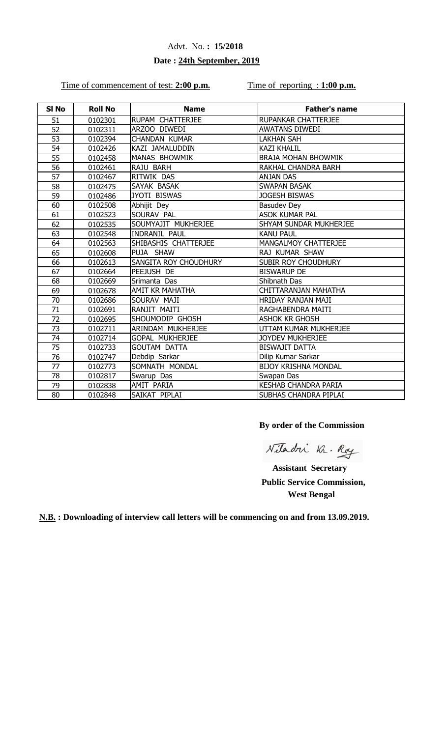### **Date : 24th September, 2019**

#### Time of commencement of test: 2:00 p.m. Time of reporting : 1:00 p.m.

| SI No | <b>Roll No</b> | <b>Name</b>            | <b>Father's name</b>        |
|-------|----------------|------------------------|-----------------------------|
| 51    | 0102301        | RUPAM CHATTERJEE       | RUPANKAR CHATTERJEE         |
| 52    | 0102311        | ARZOO DIWEDI           | <b>AWATANS DIWEDI</b>       |
| 53    | 0102394        | <b>CHANDAN KUMAR</b>   | <b>LAKHAN SAH</b>           |
| 54    | 0102426        | KAZI JAMALUDDIN        | <b>KAZI KHALIL</b>          |
| 55    | 0102458        | MANAS BHOWMIK          | <b>BRAJA MOHAN BHOWMIK</b>  |
| 56    | 0102461        | RAJU BARH              | RAKHAL CHANDRA BARH         |
| 57    | 0102467        | RITWIK DAS             | <b>ANJAN DAS</b>            |
| 58    | 0102475        | SAYAK BASAK            | <b>SWAPAN BASAK</b>         |
| 59    | 0102486        | JYOTI BISWAS           | <b>JOGESH BISWAS</b>        |
| 60    | 0102508        | Abhijit Dey            | <b>Basudev Dey</b>          |
| 61    | 0102523        | SOURAV PAL             | <b>ASOK KUMAR PAL</b>       |
| 62    | 0102535        | SOUMYAJIT MUKHERJEE    | SHYAM SUNDAR MUKHERJEE      |
| 63    | 0102548        | <b>INDRANIL PAUL</b>   | <b>KANU PAUL</b>            |
| 64    | 0102563        | SHIBASHIS CHATTERJEE   | MANGALMOY CHATTERJEE        |
| 65    | 0102608        | PUJA SHAW              | RAJ KUMAR SHAW              |
| 66    | 0102613        | SANGITA ROY CHOUDHURY  | SUBIR ROY CHOUDHURY         |
| 67    | 0102664        | PEEJUSH DE             | <b>BISWARUP DE</b>          |
| 68    | 0102669        | Srimanta Das           | Shibnath Das                |
| 69    | 0102678        | AMIT KR MAHATHA        | CHITTARANJAN MAHATHA        |
| 70    | 0102686        | SOURAV MAJI            | HRIDAY RANJAN MAJI          |
| 71    | 0102691        | RANJIT MAITI           | RAGHABENDRA MAITI           |
| 72    | 0102695        | SHOUMODIP GHOSH        | <b>ASHOK KR GHOSH</b>       |
| 73    | 0102711        | ARINDAM MUKHERJEE      | UTTAM KUMAR MUKHERJEE       |
| 74    | 0102714        | <b>GOPAL MUKHERJEE</b> | <b>JOYDEV MUKHERJEE</b>     |
| 75    | 0102733        | <b>GOUTAM DATTA</b>    | <b>BISWAJIT DATTA</b>       |
| 76    | 0102747        | Debdip Sarkar          | Dilip Kumar Sarkar          |
| 77    | 0102773        | SOMNATH MONDAL         | <b>BIJOY KRISHNA MONDAL</b> |
| 78    | 0102817        | Swarup Das             | Swapan Das                  |
| 79    | 0102838        | AMIT PARIA             | <b>KESHAB CHANDRA PARIA</b> |
| 80    | 0102848        | SAIKAT PIPLAI          | SUBHAS CHANDRA PIPLAI       |

**By order of the Commission**

Nitadri Kr. Roy

 **Assistant Secretary Public Service Commission, West Bengal**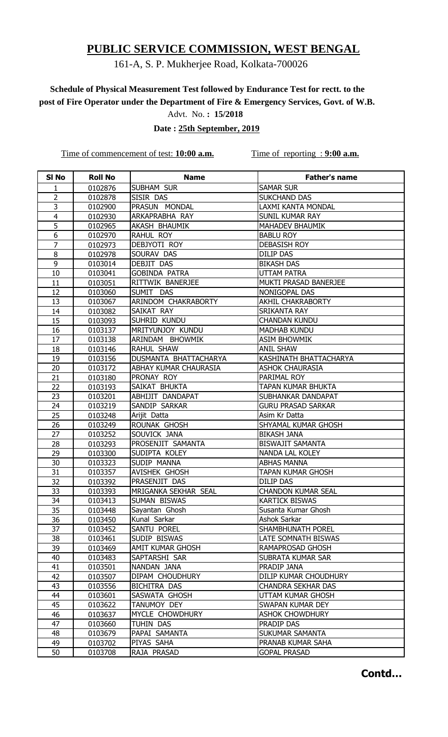## 161-A, S. P. Mukherjee Road, Kolkata-700026

# **Schedule of Physical Measurement Test followed by Endurance Test for rectt. to the post of Fire Operator under the Department of Fire & Emergency Services, Govt. of W.B.**

Advt. No. **: 15/2018**

 **Date : 25th September, 2019**

Time of commencement of test: **10:00 a.m.** Time of reporting : **9:00 a.m.** 

| SI <sub>No</sub> | <b>Roll No</b>     | <b>Name</b>                    | <b>Father's name</b>                         |
|------------------|--------------------|--------------------------------|----------------------------------------------|
| 1                | 0102876            | SUBHAM SUR                     | <b>SAMAR SUR</b>                             |
| 2                | 0102878            | SISIR DAS                      | <b>SUKCHAND DAS</b>                          |
| 3                | 0102900            | PRASUN MONDAL                  | LAXMI KANTA MONDAL                           |
| $\overline{4}$   | 0102930            | ARKAPRABHA RAY                 | SUNIL KUMAR RAY                              |
| 5                | 0102965            | <b>AKASH BHAUMIK</b>           | <b>MAHADEV BHAUMIK</b>                       |
| 6                | 0102970            | RAHUL ROY                      | <b>BABLU ROY</b>                             |
| $\overline{7}$   | 0102973            | DEBJYOTI ROY                   | <b>DEBASISH ROY</b>                          |
| 8                | 0102978            | SOURAV DAS                     | <b>DILIP DAS</b>                             |
| 9                | 0103014            | DEBJIT DAS                     | <b>BIKASH DAS</b>                            |
| 10               | 0103041            | <b>GOBINDA PATRA</b>           | <b>UTTAM PATRA</b>                           |
| 11               | 0103051            | RITTWIK BANERJEE               | MUKTI PRASAD BANERJEE                        |
| 12               | 0103060            | SUMIT DAS                      | NONIGOPAL DAS                                |
| 13               | 0103067            | ARINDOM CHAKRABORTY            | <b>AKHIL CHAKRABORTY</b>                     |
| 14               | 0103082            | SAIKAT RAY                     | <b>SRIKANTA RAY</b>                          |
| 15               | 0103093            | SUHRID KUNDU                   | <b>CHANDAN KUNDU</b>                         |
| 16               | 0103137            | MRITYUNJOY KUNDU               | <b>MADHAB KUNDU</b>                          |
| 17               | 0103138            | ARINDAM BHOWMIK                | <b>ASIM BHOWMIK</b>                          |
| 18               | 0103146            | RAHUL SHAW                     | <b>ANIL SHAW</b>                             |
| 19               | 0103156            | DUSMANTA BHATTACHARYA          | KASHINATH BHATTACHARYA                       |
| 20               | 0103172            | ABHAY KUMAR CHAURASIA          | <b>ASHOK CHAURASIA</b>                       |
| 21               | 0103180            | PRONAY ROY                     | PARIMAL ROY                                  |
| 22               | 0103193            | SAIKAT BHUKTA                  | TAPAN KUMAR BHUKTA                           |
| 23               | 0103201            | ABHIJIT DANDAPAT               | SUBHANKAR DANDAPAT                           |
| 24               | 0103219            | SANDIP SARKAR                  | <b>GURU PRASAD SARKAR</b>                    |
| 25               | 0103248            | Arijit Datta                   | Asim Kr Datta                                |
| 26               | 0103249            | ROUNAK GHOSH                   | SHYAMAL KUMAR GHOSH                          |
| 27               | 0103252            | SOUVICK JANA                   | <b>BIKASH JANA</b>                           |
| 28               | 0103293            | PROSENJIT SAMANTA              | <b>BISWAJIT SAMANTA</b>                      |
| 29               | 0103300            | SUDIPTA KOLEY                  | <b>NANDA LAL KOLEY</b>                       |
| 30               | 0103323            | SUDIP MANNA                    | <b>ABHAS MANNA</b>                           |
| 31               | 0103357            | AVISHEK GHOSH                  | <b>TAPAN KUMAR GHOSH</b>                     |
| 32               | 0103392            | PRASENJIT DAS                  | <b>DILIP DAS</b>                             |
| 33               | 0103393            | MRIGANKA SEKHAR SEAL           | <b>CHANDON KUMAR SEAL</b>                    |
| 34               | 0103413            | SUMAN BISWAS<br>Sayantan Ghosh | <b>KARTICK BISWAS</b><br>Susanta Kumar Ghosh |
| 35<br>36         | 0103448            | Kunal Sarkar                   | Ashok Sarkar                                 |
| 37               | 0103450            | SANTU POREL                    | SHAMBHUNATH POREL                            |
| 38               | 0103452<br>0103461 | SUDIP BISWAS                   | LATE SOMNATH BISWAS                          |
| 39               | 0103469            | AMIT KUMAR GHOSH               | RAMAPROSAD GHOSH                             |
| 40               | 0103483            | SAPTARSHI SAR                  | SUBRATA KUMAR SAR                            |
| 41               | 0103501            | NANDAN JANA                    | PRADIP JANA                                  |
| 42               | 0103507            | DIPAM CHOUDHURY                | DILIP KUMAR CHOUDHURY                        |
| 43               | 0103556            | BICHITRA DAS                   | <b>CHANDRA SEKHAR DAS</b>                    |
| 44               | 0103601            | SASWATA GHOSH                  | UTTAM KUMAR GHOSH                            |
| 45               | 0103622            | TANUMOY DEY                    | SWAPAN KUMAR DEY                             |
| 46               | 0103637            | MYCLE CHOWDHURY                | <b>ASHOK CHOWDHURY</b>                       |
| 47               | 0103660            | TUHIN DAS                      | PRADIP DAS                                   |
| 48               | 0103679            | PAPAI SAMANTA                  | SUKUMAR SAMANTA                              |
| 49               | 0103702            | PIYAS SAHA                     | PRANAB KUMAR SAHA                            |
| 50               | 0103708            | RAJA PRASAD                    | <b>GOPAL PRASAD</b>                          |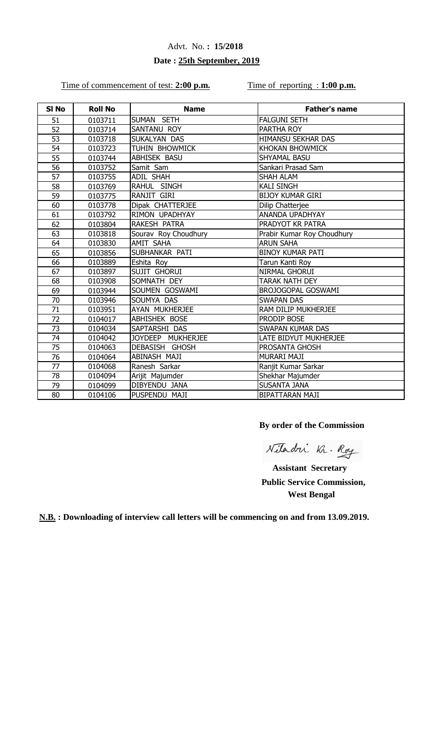### **Date : 25th September, 2019**

Time of commencement of test: 2:00 p.m. Time of reporting : 1:00 p.m.

| SI <sub>No</sub> | <b>Roll No</b> | <b>Name</b>          | <b>Father's name</b>       |
|------------------|----------------|----------------------|----------------------------|
| 51               | 0103711        | SUMAN SETH           | <b>FALGUNI SETH</b>        |
| 52               | 0103714        | SANTANU ROY          | PARTHA ROY                 |
| 53               | 0103718        | SUKALYAN DAS         | HIMANSU SEKHAR DAS         |
| 54               | 0103723        | TUHIN BHOWMICK       | KHOKAN BHOWMICK            |
| 55               | 0103744        | ABHISEK BASU         | <b>SHYAMAL BASU</b>        |
| 56               | 0103752        | Samit Sam            | Sankari Prasad Sam         |
| 57               | 0103755        | <b>ADIL SHAH</b>     | <b>SHAH ALAM</b>           |
| 58               | 0103769        | RAHUL SINGH          | <b>KALI SINGH</b>          |
| 59               | 0103775        | RANJIT GIRI          | <b>BIJOY KUMAR GIRI</b>    |
| 60               | 0103778        | Dipak CHATTERJEE     | Dilip Chatterjee           |
| 61               | 0103792        | RIMON UPADHYAY       | ANANDA UPADHYAY            |
| 62               | 0103804        | RAKESH PATRA         | PRADYOT KR PATRA           |
| 63               | 0103818        | Sourav Roy Choudhury | Prabir Kumar Roy Choudhury |
| 64               | 0103830        | <b>AMIT SAHA</b>     | <b>ARUN SAHA</b>           |
| 65               | 0103856        | SUBHANKAR PATI       | <b>BINOY KUMAR PATI</b>    |
| 66               | 0103889        | Eshita Roy           | Tarun Kanti Roy            |
| 67               | 0103897        | <b>SUJIT GHORUI</b>  | NIRMAL GHORUI              |
| 68               | 0103908        | SOMNATH DEY          | <b>TARAK NATH DEY</b>      |
| 69               | 0103944        | SOUMEN GOSWAMI       | BROJOGOPAL GOSWAMI         |
| 70               | 0103946        | SOUMYA DAS           | <b>SWAPAN DAS</b>          |
| 71               | 0103951        | AYAN MUKHERJEE       | RAM DILIP MUKHERJEE        |
| 72               | 0104017        | <b>ABHISHEK BOSE</b> | PRODIP BOSE                |
| 73               | 0104034        | SAPTARSHI DAS        | <b>SWAPAN KUMAR DAS</b>    |
| 74               | 0104042        | JOYDEEP MUKHERJEE    | LATE BIDYUT MUKHERJEE      |
| 75               | 0104063        | DEBASISH GHOSH       | PROSANTA GHOSH             |
| 76               | 0104064        | <b>ABINASH MAJI</b>  | MURARI MAJI                |
| 77               | 0104068        | Ranesh Sarkar        | Ranjit Kumar Sarkar        |
| 78               | 0104094        | Arijit Majumder      | Shekhar Majumder           |
| 79               | 0104099        | DIBYENDU JANA        | <b>SUSANTA JANA</b>        |
| 80               | 0104106        | PUSPENDU MAJI        | <b>BIPATTARAN MAJI</b>     |

**By order of the Commission**

Nitadri Kr. Roy

 **Assistant Secretary Public Service Commission, West Bengal**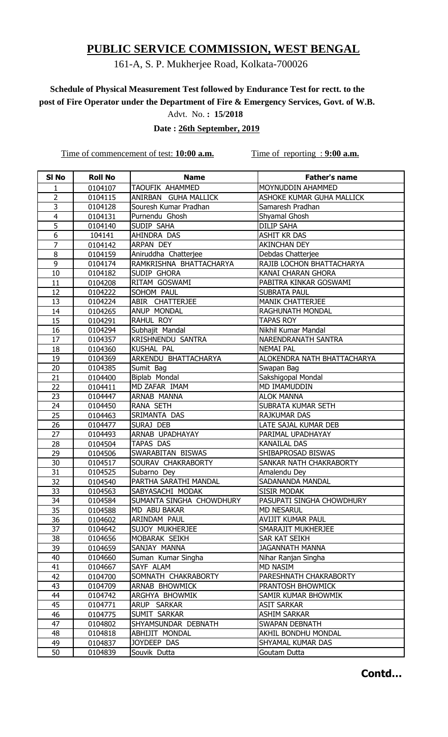## 161-A, S. P. Mukherjee Road, Kolkata-700026

# **Schedule of Physical Measurement Test followed by Endurance Test for rectt. to the post of Fire Operator under the Department of Fire & Emergency Services, Govt. of W.B.**

Advt. No. **: 15/2018**

 **Date : 26th September, 2019**

Time of commencement of test: **10:00 a.m.** Time of reporting : **9:00 a.m.** 

| SI <sub>No</sub> | <b>Roll No</b> | <b>Name</b>              | Father's name               |
|------------------|----------------|--------------------------|-----------------------------|
| $\mathbf{1}$     | 0104107        | TAOUFIK AHAMMED          | MOYNUDDIN AHAMMED           |
| 2                | 0104115        | ANIRBAN GUHA MALLICK     | ASHOKE KUMAR GUHA MALLICK   |
| 3                | 0104128        | Souresh Kumar Pradhan    | Samaresh Pradhan            |
| $\overline{4}$   | 0104131        | Purnendu Ghosh           | Shyamal Ghosh               |
| 5                | 0104140        | SUDIP SAHA               | <b>DILIP SAHA</b>           |
| 6                | 104141         | AHINDRA DAS              | <b>ASHIT KR DAS</b>         |
| $\overline{7}$   | 0104142        | ARPAN DEY                | <b>AKINCHAN DEY</b>         |
| 8                | 0104159        | Aniruddha Chatterjee     | Debdas Chatterjee           |
| 9                | 0104174        | RAMKRISHNA BHATTACHARYA  | RAJIB LOCHON BHATTACHARYA   |
| 10               | 0104182        | SUDIP GHORA              | KANAI CHARAN GHORA          |
| 11               | 0104208        | RITAM GOSWAMI            | PABITRA KINKAR GOSWAMI      |
| 12               | 0104222        | SOHOM PAUL               | <b>SUBRATA PAUL</b>         |
| 13               | 0104224        | ABIR CHATTERJEE          | <b>MANIK CHATTERJEE</b>     |
| 14               | 0104265        | <b>ANUP MONDAL</b>       | RAGHUNATH MONDAL            |
| 15               | 0104291        | RAHUL ROY                | <b>TAPAS ROY</b>            |
| 16               | 0104294        | Subhajit Mandal          | Nikhil Kumar Mandal         |
| 17               | 0104357        | <b>KRISHNENDU SANTRA</b> | NARENDRANATH SANTRA         |
| 18               | 0104360        | KUSHAL PAL               | <b>NEMAI PAL</b>            |
| 19               | 0104369        | ARKENDU BHATTACHARYA     | ALOKENDRA NATH BHATTACHARYA |
| 20               | 0104385        | Sumit Bag                | Swapan Bag                  |
| 21               | 0104400        | Biplab Mondal            | Sakshigopal Mondal          |
| 22               | 0104411        | MD ZAFAR IMAM            | MD IMAMUDDIN                |
| 23               | 0104447        | ARNAB MANNA              | <b>ALOK MANNA</b>           |
| 24               | 0104450        | RANA SETH                | SUBRATA KUMAR SETH          |
| 25               | 0104463        | SRIMANTA DAS             | <b>RAJKUMAR DAS</b>         |
| 26               | 0104477        | SURAJ DEB                | LATE SAJAL KUMAR DEB        |
| 27               | 0104493        | ARNAB UPADHAYAY          | PARIMAL UPADHAYAY           |
| 28               | 0104504        | TAPAS DAS                | <b>KANAILAL DAS</b>         |
| 29               | 0104506        | SWARABITAN BISWAS        | SHIBAPROSAD BISWAS          |
| 30               | 0104517        | SOURAV CHAKRABORTY       | SANKAR NATH CHAKRABORTY     |
| 31               | 0104525        | Subarno Dey              | Amalendu Dey                |
| 32               | 0104540        | PARTHA SARATHI MANDAL    | SADANANDA MANDAL            |
| 33               | 0104563        | SABYASACHI MODAK         | <b>SISIR MODAK</b>          |
| 34               | 0104584        | SUMANTA SINGHA CHOWDHURY | PASUPATI SINGHA CHOWDHURY   |
| 35               | 0104588        | MD ABU BAKAR             | <b>MD NESARUL</b>           |
| 36               | 0104602        | ARINDAM PAUL             | <b>AVIJIT KUMAR PAUL</b>    |
| 37               | 0104642        | SUJOY MUKHERJEE          | SMARAJIT MUKHERJEE          |
| 38               | 0104656        | MOBARAK SEIKH            | SAR KAT SEIKH               |
| 39               | 0104659        | SANJAY MANNA             | <b>JAGANNATH MANNA</b>      |
| 40               | 0104660        | Suman Kumar Singha       | Nihar Ranjan Singha         |
| 41               | 0104667        | SAYF ALAM                | <b>MD NASIM</b>             |
| 42               | 0104700        | SOMNATH CHAKRABORTY      | PARESHNATH CHAKRABORTY      |
| 43               | 0104709        | ARNAB BHOWMICK           | PRANTOSH BHOWMICK           |
| 44               | 0104742        | ARGHYA BHOWMIK           | SAMIR KUMAR BHOWMIK         |
| 45               | 0104771        | ARUP SARKAR              | <b>ASIT SARKAR</b>          |
| 46               | 0104775        | SUMIT SARKAR             | <b>ASHIM SARKAR</b>         |
| 47               | 0104802        | SHYAMSUNDAR DEBNATH      | SWAPAN DEBNATH              |
| 48               | 0104818        | ABHIJIT MONDAL           | AKHIL BONDHU MONDAL         |
| 49               | 0104837        | JOYDEEP DAS              | SHYAMAL KUMAR DAS           |
| 50               | 0104839        | Souvik Dutta             | Goutam Dutta                |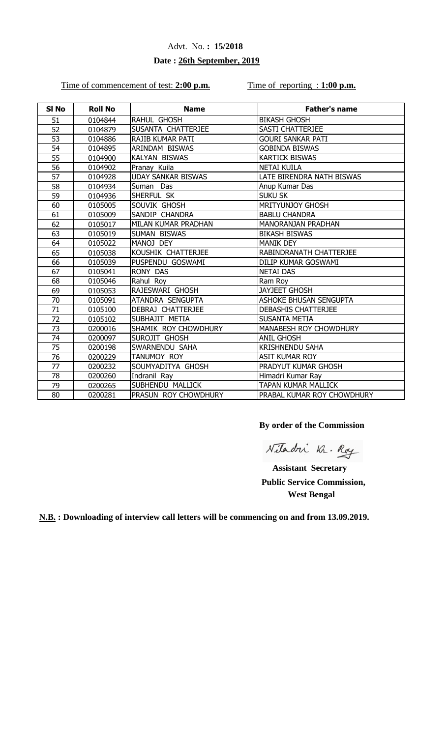### **Date : 26th September, 2019**

#### Time of commencement of test: 2:00 p.m. Time of reporting : 1:00 p.m.

| SI <sub>No</sub> | <b>Roll No</b> | <b>Name</b>               | <b>Father's name</b>       |
|------------------|----------------|---------------------------|----------------------------|
| 51               | 0104844        | <b>RAHUL GHOSH</b>        | <b>BIKASH GHOSH</b>        |
| 52               | 0104879        | SUSANTA CHATTERJEE        | <b>SASTI CHATTERJEE</b>    |
| 53               | 0104886        | <b>RAJIB KUMAR PATI</b>   | <b>GOURI SANKAR PATI</b>   |
| 54               | 0104895        | ARINDAM BISWAS            | <b>GOBINDA BISWAS</b>      |
| 55               | 0104900        | <b>KALYAN BISWAS</b>      | <b>KARTICK BISWAS</b>      |
| 56               | 0104902        | Pranay Kuila              | <b>NETAI KUILA</b>         |
| 57               | 0104928        | <b>UDAY SANKAR BISWAS</b> | LATE BIRENDRA NATH BISWAS  |
| 58               | 0104934        | Suman Das                 | Anup Kumar Das             |
| 59               | 0104936        | SHERFUL SK                | <b>SUKU SK</b>             |
| 60               | 0105005        | SOUVIK GHOSH              | <b>MRITYUNJOY GHOSH</b>    |
| 61               | 0105009        | SANDIP CHANDRA            | <b>BABLU CHANDRA</b>       |
| 62               | 0105017        | MILAN KUMAR PRADHAN       | <b>MANORANJAN PRADHAN</b>  |
| 63               | 0105019        | <b>SUMAN BISWAS</b>       | <b>BIKASH BISWAS</b>       |
| 64               | 0105022        | MANOJ DEY                 | <b>MANIK DEY</b>           |
| 65               | 0105038        | KOUSHIK CHATTERJEE        | RABINDRANATH CHATTERJEE    |
| 66               | 0105039        | PUSPENDU GOSWAMI          | DILIP KUMAR GOSWAMI        |
| 67               | 0105041        | <b>RONY DAS</b>           | <b>NETAI DAS</b>           |
| 68               | 0105046        | Rahul Roy                 | Ram Roy                    |
| 69               | 0105053        | RAJESWARI GHOSH           | <b>JAYJEET GHOSH</b>       |
| 70               | 0105091        | ATANDRA SENGUPTA          | ASHOKE BHUSAN SENGUPTA     |
| 71               | 0105100        | DEBRAJ CHATTERJEE         | DEBASHIS CHATTERJEE        |
| 72               | 0105102        | SUBHAJIT METIA            | <b>SUSANTA METIA</b>       |
| 73               | 0200016        | SHAMIK ROY CHOWDHURY      | MANABESH ROY CHOWDHURY     |
| 74               | 0200097        | SUROJIT GHOSH             | <b>ANIL GHOSH</b>          |
| 75               | 0200198        | SWARNENDU SAHA            | <b>KRISHNENDU SAHA</b>     |
| 76               | 0200229        | TANUMOY ROY               | <b>ASIT KUMAR ROY</b>      |
| 77               | 0200232        | SOUMYADITYA GHOSH         | PRADYUT KUMAR GHOSH        |
| 78               | 0200260        | Indranil Ray              | Himadri Kumar Ray          |
| 79               | 0200265        | SUBHENDU MALLICK          | <b>TAPAN KUMAR MALLICK</b> |
| 80               | 0200281        | PRASUN ROY CHOWDHURY      | PRABAL KUMAR ROY CHOWDHURY |

**By order of the Commission**

Nitadri Kr. Roy

 **Assistant Secretary Public Service Commission, West Bengal**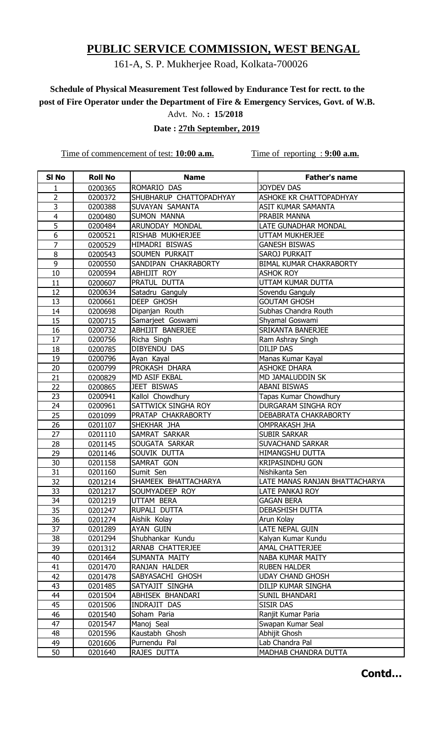## 161-A, S. P. Mukherjee Road, Kolkata-700026

# **Schedule of Physical Measurement Test followed by Endurance Test for rectt. to the post of Fire Operator under the Department of Fire & Emergency Services, Govt. of W.B.**

Advt. No. **: 15/2018**

 **Date : 27th September, 2019**

Time of commencement of test: **10:00 a.m.** Time of reporting : **9:00 a.m.** 

| SI <sub>No</sub> | <b>Roll No</b> | <b>Name</b>             | <b>Father's name</b>           |
|------------------|----------------|-------------------------|--------------------------------|
| 1                | 0200365        | ROMARIO DAS             | <b>JOYDEV DAS</b>              |
| 2                | 0200372        | SHUBHARUP CHATTOPADHYAY | ASHOKE KR CHATTOPADHYAY        |
| 3                | 0200388        | SUVAYAN SAMANTA         | <b>ASIT KUMAR SAMANTA</b>      |
| 4                | 0200480        | <b>SUMON MANNA</b>      | PRABIR MANNA                   |
| 5                | 0200484        | ARUNODAY MONDAL         | LATE GUNADHAR MONDAL           |
| 6                | 0200521        | RISHAB MUKHERJEE        | UTTAM MUKHERJEE                |
| $\overline{7}$   | 0200529        | HIMADRI BISWAS          | <b>GANESH BISWAS</b>           |
| 8                | 0200543        | SOUMEN PURKAIT          | <b>SAROJ PURKAIT</b>           |
| 9                | 0200550        | SANDIPAN CHAKRABORTY    | <b>BIMAL KUMAR CHAKRABORTY</b> |
| 10               | 0200594        | ABHIJIT ROY             | <b>ASHOK ROY</b>               |
| 11               | 0200607        | PRATUL DUTTA            | UTTAM KUMAR DUTTA              |
| 12               | 0200634        | Satadru Ganguly         | Sovendu Ganguly                |
| 13               | 0200661        | DEEP GHOSH              | <b>GOUTAM GHOSH</b>            |
| 14               | 0200698        | Dipanjan Routh          | Subhas Chandra Routh           |
| 15               | 0200715        | Samarjeet Goswami       | Shyamal Goswami                |
| 16               | 0200732        | <b>ABHIJIT BANERJEE</b> | SRIKANTA BANERJEE              |
| 17               | 0200756        | Richa Singh             | Ram Ashray Singh               |
| 18               | 0200785        | DIBYENDU DAS            | <b>DILIP DAS</b>               |
| 19               | 0200796        | Ayan Kayal              | Manas Kumar Kayal              |
| 20               | 0200799        | PROKASH DHARA           | <b>ASHOKE DHARA</b>            |
| 21               | 0200829        | <b>MD ASIF EKBAL</b>    | MD JAMALUDDIN SK               |
| 22               | 0200865        | <b>JEET BISWAS</b>      | <b>ABANI BISWAS</b>            |
| 23               | 0200941        | Kallol Chowdhury        | Tapas Kumar Chowdhury          |
| 24               | 0200961        | SATTWICK SINGHA ROY     | DURGARAM SINGHA ROY            |
| 25               | 0201099        | PRATAP CHAKRABORTY      | DEBABRATA CHAKRABORTY          |
| 26               | 0201107        | SHEKHAR JHA             | <b>OMPRAKASH JHA</b>           |
| 27               | 0201110        | SAMRAT SARKAR           | <b>SUBIR SARKAR</b>            |
| 28               | 0201145        | SOUGATA SARKAR          | <b>SUVACHAND SARKAR</b>        |
| 29               | 0201146        | SOUVIK DUTTA            | HIMANGSHU DUTTA                |
| 30               | 0201158        | SAMRAT GON              | <b>KRIPASINDHU GON</b>         |
| 31               | 0201160        | Sumit Sen               | Nishikanta Sen                 |
| $\overline{32}$  | 0201214        | SHAMEEK BHATTACHARYA    | LATE MANAS RANJAN BHATTACHARYA |
| 33               | 0201217        | SOUMYADEEP ROY          | LATE PANKAJ ROY                |
| 34               | 0201219        | UTTAM BERA              | <b>GAGAN BERA</b>              |
| 35               | 0201247        | RUPALI DUTTA            | <b>DEBASHISH DUTTA</b>         |
| 36               | 0201274        | Aishik Kolay            | Arun Kolay                     |
| 37               | 0201289        | AYAN GUIN               | LATE NEPAL GUIN                |
| 38               | 0201294        | Shubhankar Kundu        | Kalyan Kumar Kundu             |
| 39               | 0201312        | ARNAB CHATTERJEE        | <b>AMAL CHATTERJEE</b>         |
| 40               | 0201464        | SUMANTA MAITY           | NABA KUMAR MAITY               |
| 41               | 0201470        | RANJAN HALDER           | <b>RUBEN HALDER</b>            |
| 42               | 0201478        | SABYASACHI GHOSH        | <b>UDAY CHAND GHOSH</b>        |
| 43               | 0201485        | SATYAJIT SINGHA         | DILIP KUMAR SINGHA             |
| 44               | 0201504        | ABHISEK BHANDARI        | <b>SUNIL BHANDARI</b>          |
| 45               | 0201506        | INDRAJIT DAS            | <b>SISIR DAS</b>               |
| 46               | 0201540        | Soham Paria             | Ranjit Kumar Paria             |
| 47               | 0201547        | Manoj Seal              | Swapan Kumar Seal              |
| 48               | 0201596        | Kaustabh Ghosh          | Abhijit Ghosh                  |
| 49               | 0201606        | Purnendu Pal            | Lab Chandra Pal                |
| 50               | 0201640        | RAJES DUTTA             | MADHAB CHANDRA DUTTA           |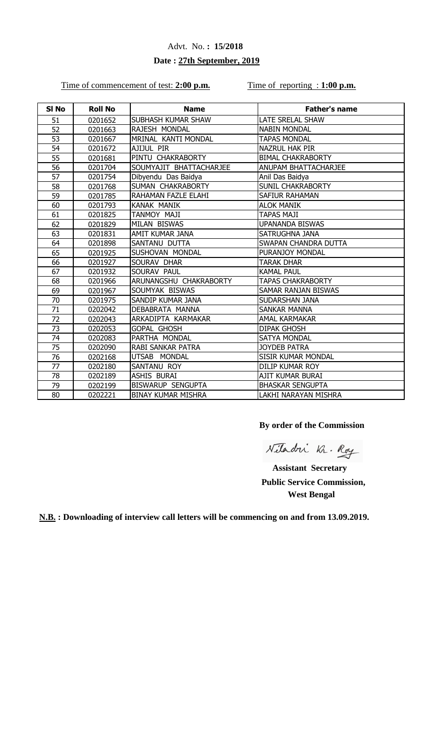### **Date : 27th September, 2019**

#### Time of commencement of test: 2:00 p.m. Time of reporting : 1:00 p.m.

| SI No | <b>Roll No</b> | <b>Name</b>               | <b>Father's name</b>       |
|-------|----------------|---------------------------|----------------------------|
| 51    | 0201652        | SUBHASH KUMAR SHAW        | LATE SRELAL SHAW           |
| 52    | 0201663        | RAJESH MONDAL             | <b>NABIN MONDAL</b>        |
| 53    | 0201667        | MRINAL KANTI MONDAL       | <b>TAPAS MONDAL</b>        |
| 54    | 0201672        | AJIJUL PIR                | <b>NAZRUL HAK PIR</b>      |
| 55    | 0201681        | PINTU CHAKRABORTY         | <b>BIMAL CHAKRABORTY</b>   |
| 56    | 0201704        | SOUMYAJIT BHATTACHARJEE   | ANUPAM BHATTACHARJEE       |
| 57    | 0201754        | Dibyendu Das Baidya       | Anil Das Baidya            |
| 58    | 0201768        | SUMAN CHAKRABORTY         | <b>SUNIL CHAKRABORTY</b>   |
| 59    | 0201785        | RAHAMAN FAZLE ELAHI       | SAFIUR RAHAMAN             |
| 60    | 0201793        | KANAK MANIK               | <b>ALOK MANIK</b>          |
| 61    | 0201825        | TANMOY MAJI               | <b>TAPAS MAJI</b>          |
| 62    | 0201829        | <b>MILAN BISWAS</b>       | <b>UPANANDA BISWAS</b>     |
| 63    | 0201831        | AMIT KUMAR JANA           | SATRUGHNA JANA             |
| 64    | 0201898        | SANTANU DUTTA             | SWAPAN CHANDRA DUTTA       |
| 65    | 0201925        | SUSHOVAN MONDAL           | PURANJOY MONDAL            |
| 66    | 0201927        | SOURAV DHAR               | TARAK DHAR                 |
| 67    | 0201932        | SOURAV PAUL               | <b>KAMAL PAUL</b>          |
| 68    | 0201966        | ARUNANGSHU CHAKRABORTY    | <b>TAPAS CHAKRABORTY</b>   |
| 69    | 0201967        | SOUMYAK BISWAS            | <b>SAMAR RANJAN BISWAS</b> |
| 70    | 0201975        | SANDIP KUMAR JANA         | SUDARSHAN JANA             |
| 71    | 0202042        | DEBABRATA MANNA           | <b>SANKAR MANNA</b>        |
| 72    | 0202043        | ARKADIPTA KARMAKAR        | <b>AMAL KARMAKAR</b>       |
| 73    | 0202053        | <b>GOPAL GHOSH</b>        | <b>DIPAK GHOSH</b>         |
| 74    | 0202083        | PARTHA MONDAL             | <b>SATYA MONDAL</b>        |
| 75    | 0202090        | <b>RABI SANKAR PATRA</b>  | <b>JOYDEB PATRA</b>        |
| 76    | 0202168        | UTSAB MONDAL              | SISIR KUMAR MONDAL         |
| 77    | 0202180        | SANTANU ROY               | DILIP KUMAR ROY            |
| 78    | 0202189        | ASHIS BURAI               | AJIT KUMAR BURAI           |
| 79    | 0202199        | <b>BISWARUP SENGUPTA</b>  | <b>BHASKAR SENGUPTA</b>    |
| 80    | 0202221        | <b>BINAY KUMAR MISHRA</b> | LAKHI NARAYAN MISHRA       |

**By order of the Commission**

Nitadri Kr. Roy

 **Assistant Secretary Public Service Commission, West Bengal**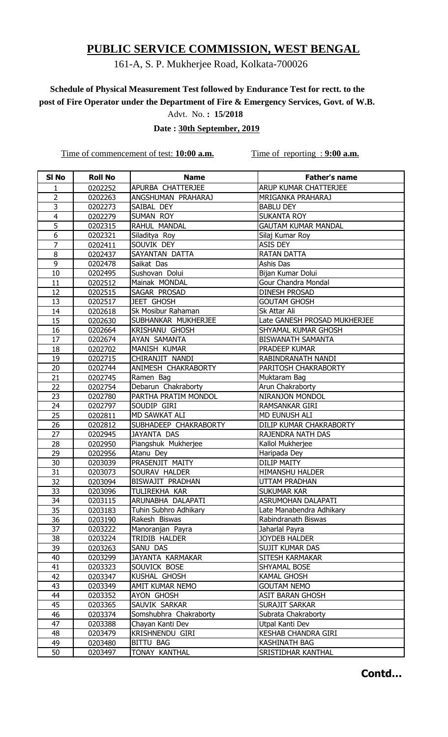## 161-A, S. P. Mukherjee Road, Kolkata-700026

# **Schedule of Physical Measurement Test followed by Endurance Test for rectt. to the post of Fire Operator under the Department of Fire & Emergency Services, Govt. of W.B.**

Advt. No. **: 15/2018**

 **Date : 30th September, 2019**

Time of commencement of test: **10:00 a.m.** Time of reporting : **9:00 a.m.** 

| SI <sub>No</sub> | <b>Roll No</b> | <b>Name</b>            | <b>Father's name</b>         |
|------------------|----------------|------------------------|------------------------------|
| 1                | 0202252        | APURBA CHATTERJEE      | ARUP KUMAR CHATTERJEE        |
| 2                | 0202263        | ANGSHUMAN PRAHARAJ     | MRIGANKA PRAHARAJ            |
| $\overline{3}$   | 0202273        | SAIBAL DEY             | <b>BABLU DEY</b>             |
| $\overline{4}$   | 0202279        | SUMAN ROY              | <b>SUKANTA ROY</b>           |
| $\overline{5}$   | 0202315        | RAHUL MANDAL           | <b>GAUTAM KUMAR MANDAL</b>   |
| 6                | 0202321        | Siladitya Roy          | Silaj Kumar Roy              |
| $\overline{7}$   | 0202411        | SOUVIK DEY             | ASIS DEY                     |
| 8                | 0202437        | SAYANTAN DATTA         | <b>RATAN DATTA</b>           |
| 9                | 0202478        | Saikat Das             | Ashis Das                    |
| 10               | 0202495        | Sushovan Dolui         | Bijan Kumar Dolui            |
| 11               | 0202512        | Mainak MONDAL          | Gour Chandra Mondal          |
| 12               | 0202515        | SAGAR PROSAD           | <b>DINESH PROSAD</b>         |
| 13               | 0202517        | <b>JEET GHOSH</b>      | <b>GOUTAM GHOSH</b>          |
| 14               | 0202618        | Sk Mosibur Rahaman     | Sk Attar Ali                 |
| 15               | 0202630        | SUBHANKAR MUKHERJEE    | Late GANESH PROSAD MUKHERJEE |
| 16               | 0202664        | <b>KRISHANU GHOSH</b>  | SHYAMAL KUMAR GHOSH          |
| 17               | 0202674        | AYAN SAMANTA           | <b>BISWANATH SAMANTA</b>     |
| 18               | 0202702        | MANISH KUMAR           | PRADEEP KUMAR                |
| 19               | 0202715        | CHIRANJIT NANDI        | RABINDRANATH NANDI           |
| 20               | 0202744        | ANIMESH CHAKRABORTY    | PARITOSH CHAKRABORTY         |
| 21               | 0202745        | Ramen Bag              | Muktaram Bag                 |
| 22               | 0202754        | Debarun Chakraborty    | Arun Chakraborty             |
| 23               | 0202780        | PARTHA PRATIM MONDOL   | NIRANJON MONDOL              |
| 24               | 0202797        | SOUDIP GIRI            | RAMSANKAR GIRI               |
| 25               | 0202811        | <b>MD SAWKAT ALI</b>   | MD EUNUSH ALI                |
| 26               | 0202812        | SUBHADEEP CHAKRABORTY  | DILIP KUMAR CHAKRABORTY      |
| 27               | 0202945        | <b>JAYANTA DAS</b>     | RAJENDRA NATH DAS            |
| 28               | 0202950        | Piangshuk Mukherjee    | Kallol Mukherjee             |
| 29               | 0202956        | Atanu Dey              | Haripada Dey                 |
| 30               | 0203039        | PRASENJIT MAITY        | <b>DILIP MAITY</b>           |
| 31               | 0203073        | SOURAV HALDER          | <b>HIMANSHU HALDER</b>       |
| $\overline{32}$  | 0203094        | BISWAJIT PRADHAN       | <b>UTTAM PRADHAN</b>         |
| 33               | 0203096        | TULIREKHA KAR          | <b>SUKUMAR KAR</b>           |
| 34               | 0203115        | ARUNABHA DALAPATI      | ASRUMOHAN DALAPATI           |
| 35               | 0203183        | Tuhin Subhro Adhikary  | Late Manabendra Adhikary     |
| 36               | 0203190        | Rakesh Biswas          | Rabindranath Biswas          |
| 37               | 0203222        | Manoranjan Payra       | Jaharlal Payra               |
| 38               | 0203224        | TRIDIB HALDER          | JOYDEB HALDER                |
| 39               | 0203263        | SANU DAS               | SUJIT KUMAR DAS              |
| 40               | 0203299        | JAYANTA KARMAKAR       | SITESH KARMAKAR              |
| 41               | 0203323        | SOUVICK BOSE           | SHYAMAL BOSE                 |
| 42               | 0203347        | KUSHAL GHOSH           | <b>KAMAL GHOSH</b>           |
| 43               | 0203349        | AMIT KUMAR NEMO        | <b>GOUTAM NEMO</b>           |
| 44               | 0203352        | AYON GHOSH             | <b>ASIT BARAN GHOSH</b>      |
| 45               | 0203365        | SAUVIK SARKAR          | <b>SURAJIT SARKAR</b>        |
| 46               | 0203374        | Somshubhra Chakraborty | Subrata Chakraborty          |
| 47               | 0203388        | Chayan Kanti Dev       | Utpal Kanti Dev              |
| 48               | 0203479        | KRISHNENDU GIRI        | <b>KESHAB CHANDRA GIRI</b>   |
| 49               | 0203480        | BITTU BAG              | KASHINATH BAG                |
| 50               | 0203497        | TONAY KANTHAL          | SRISTIDHAR KANTHAL           |